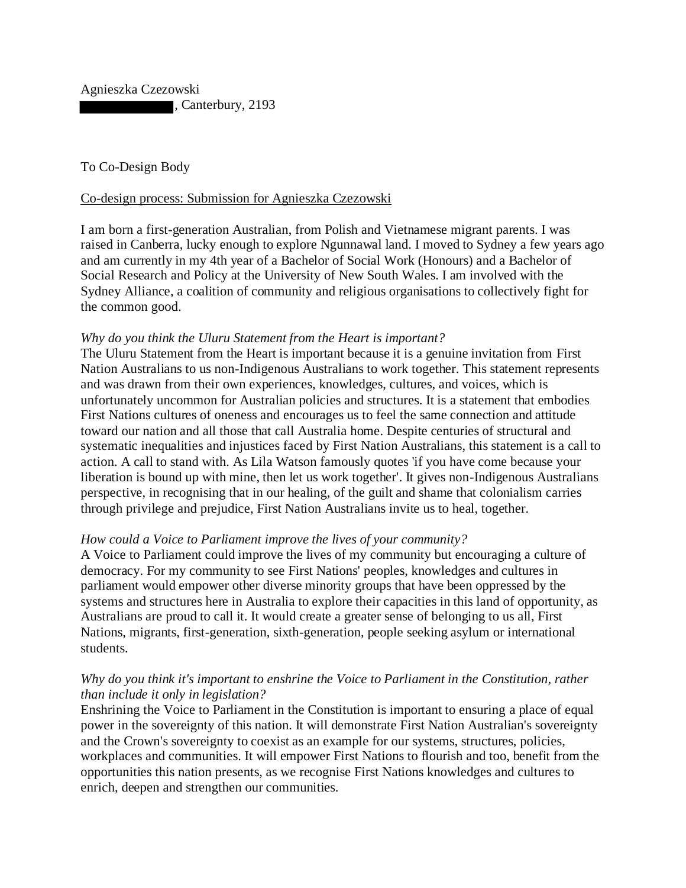Agnieszka Czezowski , Canterbury, 2193

To Co-Design Body

## Co-design process: Submission for Agnieszka Czezowski

I am born a first-generation Australian, from Polish and Vietnamese migrant parents. I was raised in Canberra, lucky enough to explore Ngunnawal land. I moved to Sydney a few years ago and am currently in my 4th year of a Bachelor of Social Work (Honours) and a Bachelor of Social Research and Policy at the University of New South Wales. I am involved with the Sydney Alliance, a coalition of community and religious organisations to collectively fight for the common good.

## *Why do you think the Uluru Statement from the Heart is important?*

The Uluru Statement from the Heart is important because it is a genuine invitation from First Nation Australians to us non-Indigenous Australians to work together. This statement represents and was drawn from their own experiences, knowledges, cultures, and voices, which is unfortunately uncommon for Australian policies and structures. It is a statement that embodies First Nations cultures of oneness and encourages us to feel the same connection and attitude toward our nation and all those that call Australia home. Despite centuries of structural and systematic inequalities and injustices faced by First Nation Australians, this statement is a call to action. A call to stand with. As Lila Watson famously quotes 'if you have come because your liberation is bound up with mine, then let us work together'. It gives non-Indigenous Australians perspective, in recognising that in our healing, of the guilt and shame that colonialism carries through privilege and prejudice, First Nation Australians invite us to heal, together.

## *How could a Voice to Parliament improve the lives of your community?*

A Voice to Parliament could improve the lives of my community but encouraging a culture of democracy. For my community to see First Nations' peoples, knowledges and cultures in parliament would empower other diverse minority groups that have been oppressed by the systems and structures here in Australia to explore their capacities in this land of opportunity, as Australians are proud to call it. It would create a greater sense of belonging to us all, First Nations, migrants, first-generation, sixth-generation, people seeking asylum or international students.

## *Why do you think it's important to enshrine the Voice to Parliament in the Constitution, rather than include it only in legislation?*

Enshrining the Voice to Parliament in the Constitution is important to ensuring a place of equal power in the sovereignty of this nation. It will demonstrate First Nation Australian's sovereignty and the Crown's sovereignty to coexist as an example for our systems, structures, policies, workplaces and communities. It will empower First Nations to flourish and too, benefit from the opportunities this nation presents, as we recognise First Nations knowledges and cultures to enrich, deepen and strengthen our communities.